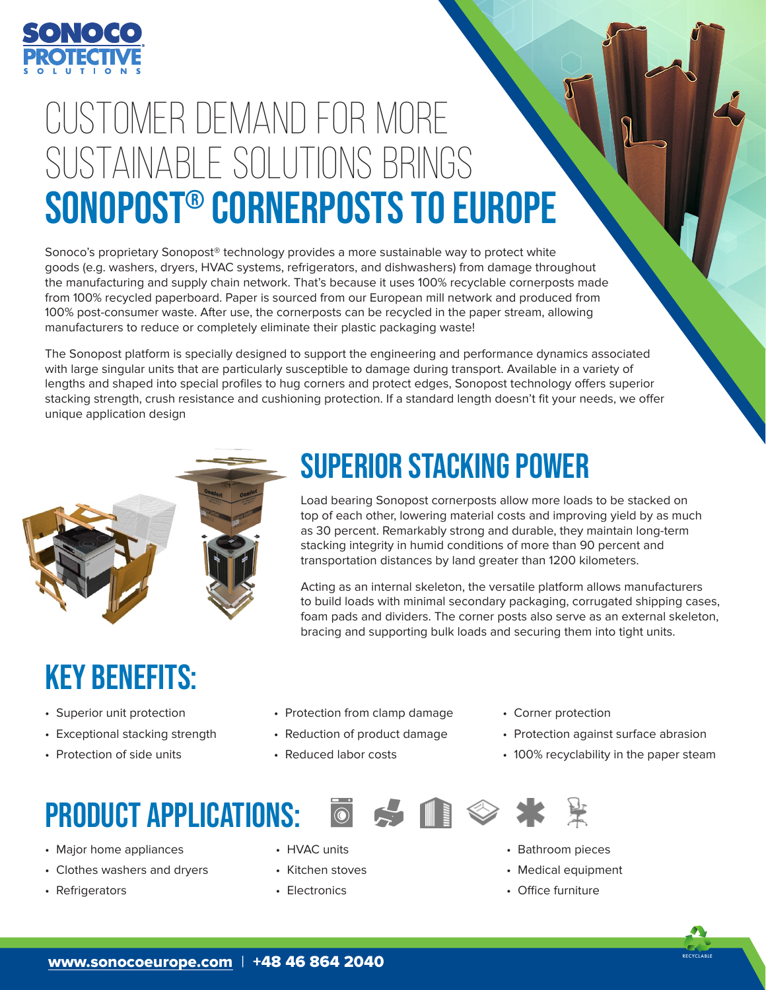

# customer demand for more sustainable solutions brings sonopost® cornerposts to europe

Sonoco's proprietary Sonopost® technology provides a more sustainable way to protect white goods (e.g. washers, dryers, HVAC systems, refrigerators, and dishwashers) from damage throughout the manufacturing and supply chain network. That's because it uses 100% recyclable cornerposts made from 100% recycled paperboard. Paper is sourced from our European mill network and produced from 100% post-consumer waste. After use, the cornerposts can be recycled in the paper stream, allowing manufacturers to reduce or completely eliminate their plastic packaging waste!

The Sonopost platform is specially designed to support the engineering and performance dynamics associated with large singular units that are particularly susceptible to damage during transport. Available in a variety of lengths and shaped into special profiles to hug corners and protect edges, Sonopost technology offers superior stacking strength, crush resistance and cushioning protection. If a standard length doesn't fit your needs, we offer unique application design



#### SUPERIOR STACKING POWER

Load bearing Sonopost cornerposts allow more loads to be stacked on top of each other, lowering material costs and improving yield by as much as 30 percent. Remarkably strong and durable, they maintain long-term stacking integrity in humid conditions of more than 90 percent and transportation distances by land greater than 1200 kilometers.

Acting as an internal skeleton, the versatile platform allows manufacturers to build loads with minimal secondary packaging, corrugated shipping cases, foam pads and dividers. The corner posts also serve as an external skeleton, bracing and supporting bulk loads and securing them into tight units.

## KEY BENEFITS:

- Superior unit protection
- Exceptional stacking strength
- Protection of side units
	-

#### PRODUCT APPLICATIONS:

- Major home appliances
- Clothes washers and dryers
- Refrigerators
- Protection from clamp damage
- Reduction of product damage
- Reduced labor costs

• HVAC units • Kitchen stoves • Electronics

- Corner protection
- Protection against surface abrasion
- 100% recyclability in the paper steam





- Bathroom pieces
- Medical equipment
- Office furniture